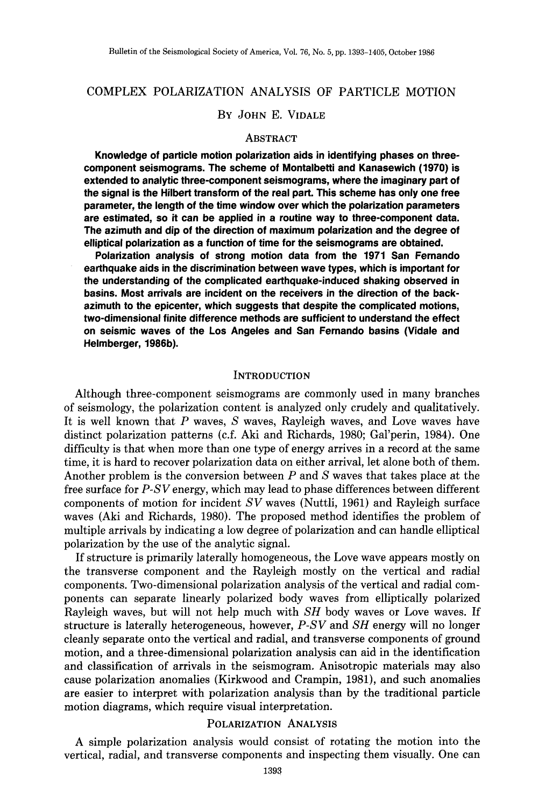# COMPLEX POLARIZATION ANALYSIS OF PARTICLE MOTION

## BY JOHN E. VIDALE

#### ABSTRACT

**Knowledge of particle motion polarization aids in identifying phases on threecomponent seismograms. The scheme of Montalbetti and Kanasewich (1970) is extended to analytic three-component seismograms, where the imaginary part of the signal is the Hilbert transform of the real part. This scheme has only one free parameter, the length of the time window over which the polarization parameters are estimated, so it can be applied in a routine way to three-component data. The azimuth and dip of the direction of maximum polarization and the degree of elliptical polarization as a function of time for the seismograms are obtained.** 

**Polarization analysis of strong motion data from the 1971 San Fernando earthquake aids in the discrimination between wave types, which is important for the understanding of the complicated earthquake-induced shaking observed in basins. Most arrivals are incident on the receivers in the direction of the backazimuth to the epicenter, which suggests that despite the complicated motions, two-dimensional finite difference methods are sufficient to understand the effect on seismic waves of the Los Angeles and San Fernando basins (Vidale and Helmberger, 1986b).** 

#### **INTRODUCTION**

Although three-component seismograms are commonly used in many branches of seismology, the polarization content is analyzed only crudely and qualitatively. It is well known that  $P$  waves,  $S$  waves, Rayleigh waves, and Love waves have distinct polarization patterns (c.f. Aki and Richards, 1980; Gal'perin, 1984). One difficulty is that when more than one type of energy arrives in a record at the same time, it is hard to recover polarization data on either arrival, let alone both of them. Another problem is the conversion between  $P$  and  $S$  waves that takes place at the free surface for *P-S V* energy, which may lead to phase differences between different components of motion for incident *SV* waves (Nuttli, 1961) and Rayleigh surface waves (Aki and Richards, 1980). The proposed method identifies the problem of multiple arrivals by indicating a low degree of polarization and can handle elliptical polarization by the use of the analytic signal.

If structure is primarily laterally homogeneous, the Love wave appears mostly on the transverse component and the Rayleigh mostly on the vertical and radial components. Two-dimensional polarization analysis of the vertical and radial components can separate linearly polarized body waves from elliptically polarized Rayleigh waves, but will not help much with *SH* body waves or Love waves. If structure is laterally heterogeneous, however, *P-SV* and *SH* energy will no longer cleanly separate onto the vertical and radial, and transverse components of ground motion, and a three-dimensional polarization analysis can aid in the identification and classification of arrivals in the seismogram. Anisotropic materials may also cause polarization anomalies (Kirkwood and Crampin, 1981), and such anomalies are easier to interpret with polarization analysis than by the traditional particle motion diagrams, which require visual interpretation.

#### POLARIZATION ANALYSIS

A simple polarization analysis would consist of rotating the motion into the vertical, radial, and transverse components and inspecting them visually. One can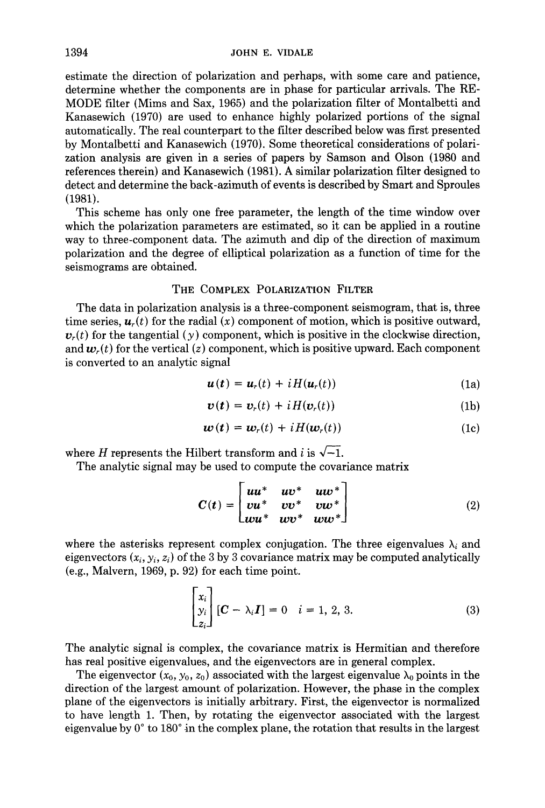estimate the direction of polarization and perhaps, with some care and patience, determine whether the components are in phase for particular arrivals. The RE-MODE filter (Mims and Sax, 1965) and the polarization filter of Montalbetti and Kanasewich (1970) are used to enhance highly polarized portions of the signal automatically. The real counterpart to the filter described below was first presented by Montalbetti and Kanasewich (1970). Some theoretical considerations of polarization analysis are given in a series of papers by Samson and Olson (1980 and references therein) and Kanasewich (1981). A similar polarization filter designed to detect and determine the back-azimuth of events is described by Smart and Sproules (1981).

This scheme has only one free parameter, the length of the time window over which the polarization parameters are estimated, so it can be applied in a routine way to three-component data. The azimuth and dip of the direction of maximum polarization and the degree of elliptical polarization as a function of time for the seismograms are obtained.

### THE COMPLEX POLARIZATION FILTER

The data in polarization analysis is a three-component seismogram, that is, three time series,  $u_r(t)$  for the radial  $(x)$  component of motion, which is positive outward,  $v_r(t)$  for the tangential  $(y)$  component, which is positive in the clockwise direction, and  $w_r(t)$  for the vertical (z) component, which is positive upward. Each component is converted to an analytic signal

$$
\boldsymbol{u}(t) = \boldsymbol{u}_r(t) + i H(\boldsymbol{u}_r(t)) \tag{1a}
$$

$$
\boldsymbol{v}(t) = \boldsymbol{v}_r(t) + i H(\boldsymbol{v}_r(t)) \tag{1b}
$$

$$
\boldsymbol{w}(t) = \boldsymbol{w}_r(t) + i H(\boldsymbol{w}_r(t)) \tag{1c}
$$

where H represents the Hilbert transform and i is  $\sqrt{-1}$ .

The analytic signal may be used to compute the covariance matrix

$$
C(t) = \begin{bmatrix} uu^* & uv^* & uw^* \\ vu^* & vv^* & vw^* \\ wu^* & wv^* & ww^* \end{bmatrix}
$$
 (2)

where the asterisks represent complex conjugation. The three eigenvalues  $\lambda_i$  and eigenvectors  $(x_i, y_i, z_i)$  of the 3 by 3 covariance matrix may be computed analytically (e.g., Malvern, 1969, p. 92) for each time point.

$$
\begin{bmatrix} x_i \\ y_i \\ z_i \end{bmatrix} [\mathbf{C} - \lambda_i \mathbf{I}] = 0 \quad i = 1, 2, 3. \tag{3}
$$

The analytic signal is complex, the covariance matrix is Hermitian and therefore has real positive eigenvalues, and the eigenvectors are in general complex.

The eigenvector  $(x_0, y_0, z_0)$  associated with the largest eigenvalue  $\lambda_0$  points in the direction of the largest amount of polarization. However, the phase in the complex plane of the eigenvectors is initially arbitrary. First, the eigenvector is normalized to have length 1. Then, by rotating the eigenvector associated with the largest eigenvalue by  $0^{\circ}$  to 180 $^{\circ}$  in the complex plane, the rotation that results in the largest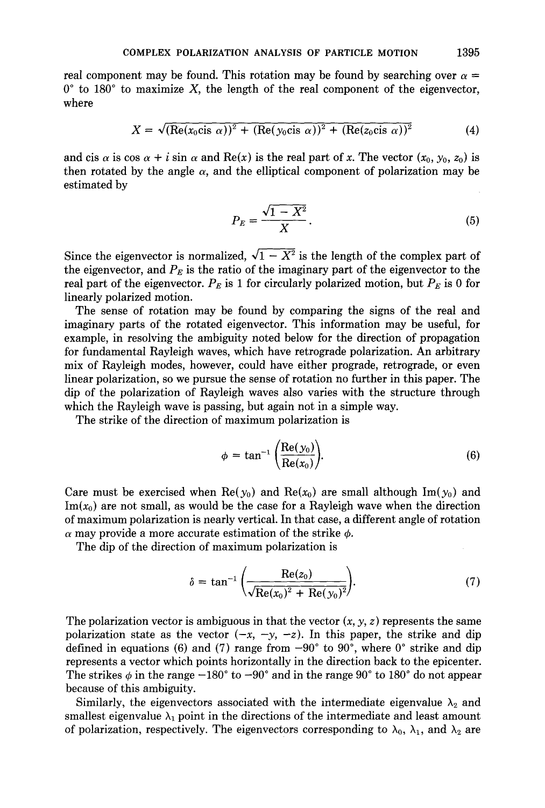real component may be found. This rotation may be found by searching over  $\alpha =$  $0^{\circ}$  to 180° to maximize X, the length of the real component of the eigenvector, where

$$
X = \sqrt{\left(\text{Re}(x_0 \text{cis }\alpha)\right)^2 + \left(\text{Re}(y_0 \text{cis }\alpha)\right)^2 + \left(\text{Re}(z_0 \text{cis }\alpha)\right)^2}
$$
(4)

and cis  $\alpha$  is cos  $\alpha + i$  sin  $\alpha$  and Re(x) is the real part of x. The vector  $(x_0, y_0, z_0)$  is then rotated by the angle  $\alpha$ , and the elliptical component of polarization may be estimated by

$$
P_E = \frac{\sqrt{1 - X^2}}{X}.
$$
\n<sup>(5)</sup>

Since the eigenvector is normalized,  $\sqrt{1 - X^2}$  is the length of the complex part of the eigenvector, and  $P_E$  is the ratio of the imaginary part of the eigenvector to the real part of the eigenvector.  $P_E$  is 1 for circularly polarized motion, but  $P_E$  is 0 for linearly polarized motion.

The sense of rotation may be found by comparing the signs of the real and imaginary parts of the rotated eigenvector. This information may be useful, for example, in resolving the ambiguity noted below for the direction of propagation for fundamental Rayleigh waves, which have retrograde polarization. An arbitrary mix of Rayleigh modes, however, could have either prograde, retrograde, or even linear polarization, so we pursue the sense of rotation no further in this paper. The dip of the polarization of Rayleigh waves also varies with the structure through which the Rayleigh wave is passing, but again not in a simple way.

The strike of the direction of maximum polarization is

$$
\phi = \tan^{-1} \left( \frac{\text{Re}(y_0)}{\text{Re}(x_0)} \right). \tag{6}
$$

Care must be exercised when Re( $y_0$ ) and Re( $x_0$ ) are small although Im( $y_0$ ) and  $Im(x_0)$  are not small, as would be the case for a Rayleigh wave when the direction of maximum polarization is nearly vertical. In that case, a different angle of rotation  $\alpha$  may provide a more accurate estimation of the strike  $\phi$ .

The dip of the direction of maximum polarization is

$$
\delta = \tan^{-1} \left( \frac{\text{Re}(z_0)}{\sqrt{\text{Re}(x_0)^2 + \text{Re}(y_0)^2}} \right).
$$
 (7)

The polarization vector is ambiguous in that the vector  $(x, y, z)$  represents the same polarization state as the vector  $(-x, -y, -z)$ . In this paper, the strike and dip defined in equations (6) and (7) range from  $-90^\circ$  to  $90^\circ$ , where  $0^\circ$  strike and dip represents a vector which points horizontally in the direction back to the epicenter. The strikes  $\phi$  in the range  $-180^\circ$  to  $-90^\circ$  and in the range  $90^\circ$  to 180° do not appear because of this ambiguity.

Similarly, the eigenvectors associated with the intermediate eigenvalue  $\lambda_2$  and smallest eigenvalue  $\lambda_1$  point in the directions of the intermediate and least amount of polarization, respectively. The eigenvectors corresponding to  $\lambda_0$ ,  $\lambda_1$ , and  $\lambda_2$  are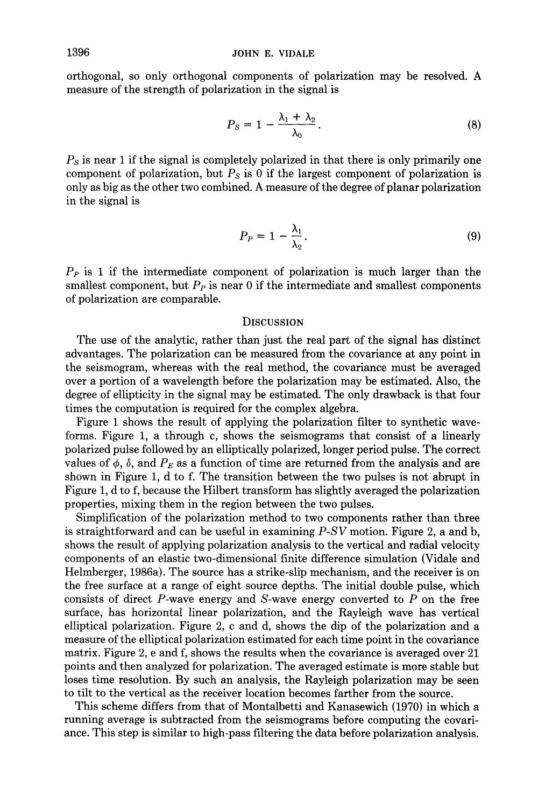orthogonal, so only orthogonal components of polarization may be resolved. A measure of the strength of polarization in the signal is

$$
P_S = 1 - \frac{\lambda_1 + \lambda_2}{\lambda_0}.
$$
 (8)

*Ps* is near 1 if the signal is completely polarized in that there is only primarily one component of polarization, but *Ps* is 0 if the largest component of polarization is only as big as the other two combined. A measure of the degree of planar polarization in the signal is

$$
P_P = 1 - \frac{\lambda_1}{\lambda_2}.\tag{9}
$$

 $P<sub>P</sub>$  is 1 if the intermediate component of polarization is much larger than the smallest component, but  $P_P$  is near 0 if the intermediate and smallest components of polarization are comparable.

### **DISCUSSION**

The use of the analytic, rather than just the real part of the signal has distinct advantages. The polarization can be measured from the covariance at any point in the seismogram, whereas with the real method, the covariance must be averaged over a portion of a wavelength before the polarization may be estimated. Also, the degree of ellipticity in the signal may be estimated. The only drawback is that four times the computation is required for the complex algebra.

Figure 1 shows the result of applying the polarization filter to synthetic waveforms. Figure 1, a through c, shows the seismograms that consist of a linearly polarized pulse followed by an elliptically polarized, longer period pulse. The correct values of  $\phi$ ,  $\delta$ , and  $P_E$  as a function of time are returned from the analysis and are shown in Figure 1, d to f. The transition between the two pulses is not abrupt in Figure 1, d to f, because the Hilbert transform has slightly averaged the polarization properties, mixing them in the region between the two pulses.

Simplification of the polarization method to two components rather than three is straightforward and can be useful in examining *P-SV* motion. Figure 2, a and b, shows the result of applying polarization analysis to the vertical and radial velocity components of an elastic two-dimensional finite difference simulation (Vidale and Helmberger, 1986a). The source has a strike-slip mechanism, and the receiver is on the free surface at a range of eight source depths. The initial double pulse, which consists of direct P-wave energy and S-wave energy converted to  $P$  on the free surface, has horizontal linear polarization, and the Rayleigh wave has vertical elliptical polarization. Figure 2, c and d, shows the dip of the polarization and a measure of the elliptical polarization estimated for each time point in the covariance matrix. Figure 2, e and f, shows the results when the covariance is averaged over 21 points and then analyzed for polarization. The averaged estimate is more stable but loses time resolution. By such an analysis, the Rayleigh polarization may be seen to tilt to the vertical as the receiver location becomes farther from the source.

This scheme differs from that of Montalbetti and Kanasewich (1970) in which a running average is subtracted from the seismograms before computing the covariance. This step is similar to high-pass filtering the data before polarization analysis.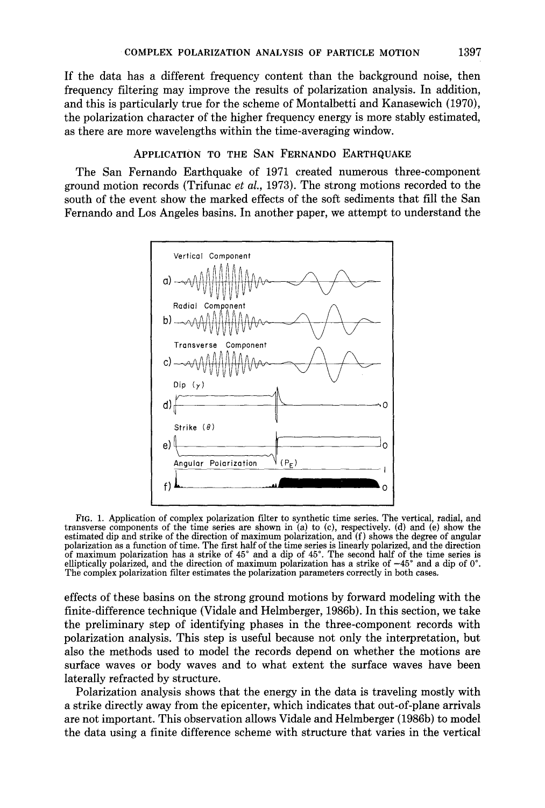If the data has a different frequency content than the background noise, then frequency filtering may improve the results of polarization analysis. In addition, and this is particularly true for the scheme of Montalbetti and Kanasewich (1970), the polarization character of the higher frequency energy is more stably estimated, as there are more wavelengths within the time-averaging window.

## APPLICATION TO THE SAN FERNANDO EARTHQUAKE

The San Fernando Earthquake of 1971 created numerous three-component ground motion records (Trifunac *et al.,* 1973). The strong motions recorded to the south of the event show the marked effects of the soft sediments that fill the San Fernando and Los Angeles basins. In another paper, we attempt to understand the



Fro. 1. Application of complex polarization filter to synthetic time series. The vertical, radial, and transverse components of the time series are shown in (a) to (c), respectively. (d) and (e) show the estimated dip and strike of the direction of maximum polarization, and  $(f)$  shows the degree of angular polarization as a function of time. The first half of the time series is linearly polarized, and the direction of maximum polarization has a strike of 45° and a dip of 45°. The second half of the time series is elliptically polarized, and the direction of maximum polarization has a strike of  $-45^\circ$  and a dip of 0<sup> $\degree$ </sup>. The complex polarization filter estimates the polarization parameters correctly in both cases.

effects of these basins on the strong ground motions by forward modeling with the finite-difference technique (Vidale and Helmberger, 1986b). In this section, we take the preliminary step of identifying phases in the three-component records with polarization analysis. This step is useful because not only the interpretation, but also the methods used to model the records depend on whether the motions are surface waves or body waves and to what extent the surface waves have been laterally refracted by structure.

Polarization analysis shows that the energy in the data is traveling mostly with a strike directly away from the epicenter, which indicates that out-of-plane arrivals are not important. This observation allows Vidale and Helmberger (1986b) to model the data using a finite difference scheme with structure that varies in the vertical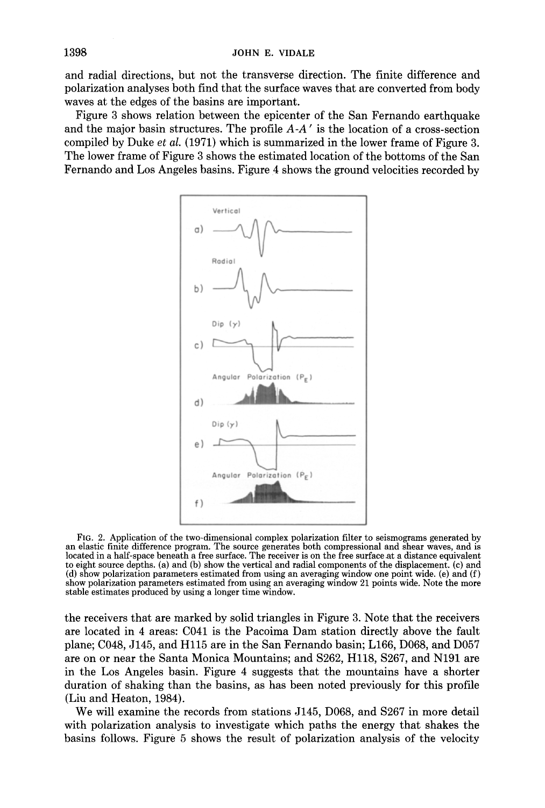and radial directions, but not the transverse direction. The finite difference and polarization analyses both find that the surface waves that are converted from body waves at the edges of the basins are important.

Figure 3 shows relation between the epicenter of the San Fernando earthquake and the major basin structures. The profile *A-A'* is the location of a cross-section compiled by Duke *et al.* (1971) which is summarized in the lower frame of Figure 3. The lower frame of Figure 3 shows the estimated location of the bottoms of the San Fernando and Los Angeles basins. Figure 4 shows the ground velocities recorded by



FIG. 2. Application of the two-dimensional complex polarization filter to seismograms generated by an elastic finite difference program. The source generates both compressional and shear waves, and is located in a half-space beneath a free surface. The receiver is on the free surface at a distance equivalent to eight source depths. (a) and (b) show the vertical and radial components of the displacement. (c) and (d) show polarization parameters estimated from using an averaging window one point wide. (e) and (f) show polarization parameters estimated from using an averaging window 21 points wide. Note the more stable estimates produced by using a longer time window.

the receivers that are marked by solid triangles in Figure 3. Note that the receivers are located in 4 areas: C041 is the Pacoima Dam station directly above the fault plane; C048, J145, and Hl15 are in the San Fernando basin; L166, D068, and D057 are on or near the Santa Monica Mountains; and \$262, Hl18, \$267, and N191 are in the Los Angeles basin. Figure 4 suggests that the mountains have a shorter duration of shaking than the basins, as has been noted previously for this profile (Liu and Heaton, 1984).

We will examine the records from stations J145, D068, and \$267 in more detail with polarization analysis to investigate which paths the energy that shakes the basins follows. Figure 5 shows the result of polarization analysis of the velocity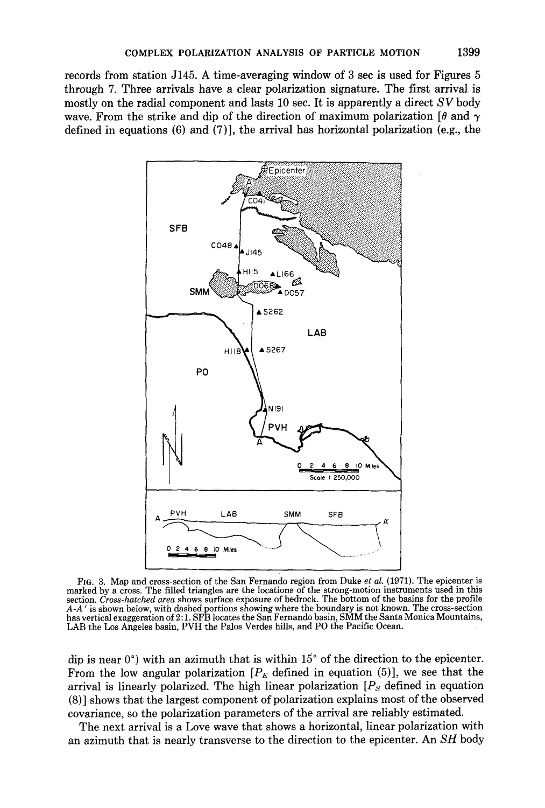**records from station J145. A time-averaging window of 3 sec is used for Figures 5 through 7. Three arrivals have a clear polarization signature. The first arrival is mostly on the radial component and lasts 10 sec. It is apparently a direct** *SV* **body**  wave. From the strike and dip of the direction of maximum polarization  $\lceil \theta \rceil$  and  $\gamma$ **defined in equations (6) and (7)], the arrival has horizontal polarization (e.g., the** 



FIG. 3. Map and cross-section of the San Fernando region from Duke *et al.* (1971). The epicenter is marked by a cross. The filled triangles are the locations of the strong-motion instruments used in this section. *Cross-hatched area* shows surface exposure of bedrock. The bottom of the basins for the profile *A-A"* is shown below, with dashed portions showing where the boundary is not known. The cross-section has vertical exaggeration of 2:1. SFB locates the San Fernando basin, SMM the Santa Monica Mountains, LAB the Los Angeles basin, PVH the Palos Verdes hills, and PO the Pacific Ocean.

dip is near  $0^{\circ}$ ) with an azimuth that is within  $15^{\circ}$  of the direction to the epicenter. From the low angular polarization  $[P_E]$  defined in equation (5)], we see that the arrival is linearly polarized. The high linear polarization *[Ps* defined in equation (8)] shows that the largest component of polarization explains most of the observed covariance, so the polarization parameters of the arrival are reliably estimated.

The next arrival is a Love wave that shows a horizontal, linear polarization with an azimuth that is nearly transverse to the direction to the epicenter. An *SH* body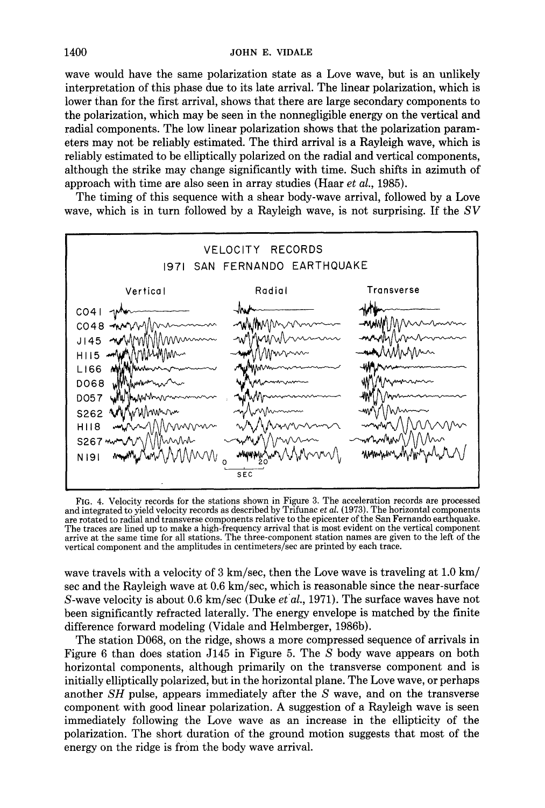wave would have the same polarization state as a Love wave, but is an unlikely interpretation of this phase due to its late arrival. The linear polarization, which is lower than for the first arrival, shows that there are large secondary components to the polarization, which may be seen in the nonnegligible energy on the vertical and radial components. The low linear polarization shows that the polarization parameters may not be reliably estimated. The third arrival is a Rayleigh wave, which is reliably estimated to be elliptically polarized on the radial and vertical components, although the strike may change significantly with time. Such shifts in azimuth of approach with time are also seen in array studies (Haar *et al.,* 1985).

The timing of this sequence with a shear body-wave arrival, followed by a Love wave, which is in turn followed by a Rayleigh wave, is not surprising. If the *SV* 



FIG. 4. Velocity records for the stations shown in Figure 3. The acceleration records are processed and integrated to yield velocity records as described by Trifunac *et al.* {1973). The horizontal components are rotated to radial and transverse components relative to the epicenter of the San Fernando earthquake. The traces are lined up to make a high-frequency arrival that is most evident on the vertical component arrive at the same time for all stations. The three-component station names are given to the left of the vertical component and the amplitudes in centimeters/sec are printed by each trace.

wave travels with a velocity of 3 km/sec, then the Love wave is traveling at 1.0 km/ sec and the Rayleigh wave at 0.6 km/sec, which is reasonable since the near-surface S-wave velocity is about 0.6 km/sec (Duke *et al.*, 1971). The surface waves have not been significantly refracted laterally. The energy envelope is matched by the finite difference forward modeling (Vidale and Helmberger, 1986b).

The station D068, on the ridge, shows a more compressed sequence of arrivals in Figure 6 than does station J145 in Figure 5. The S body wave appears on both horizontal components, although primarily on the transverse component and is initially elliptically polarized, but in the horizontal plane. The Love wave, or perhaps another *SH* pulse, appears immediately after the S wave, and on the transverse component with good linear polarization. A suggestion of a Rayleigh wave is seen immediately following the Love wave as an increase in the ellipticity of the polarization. The short duration of the ground motion suggests that most of the energy on the ridge is from the body wave arrival.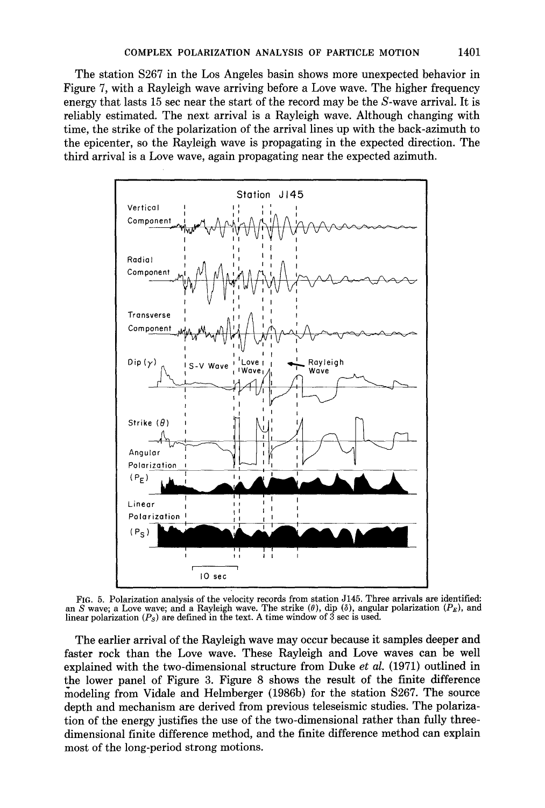The station  $S267$  in the Los Angeles basin shows more unexpected behavior in Figure 7, with a Rayleigh wave arriving before a Love wave. The higher frequency energy that lasts 15 sec near the start of the record may be the S-wave arrival. It is reliably estimated. The next arrival is a Rayleigh wave. Although changing with time, the strike of the polarization of the arrival lines up with the back-azimuth to the epicenter, so the Rayleigh wave is propagating in the expected direction. The third arrival is a Love wave, again propagating near the expected azimuth.



FIa. 5. Polarization analysis of the velocity records from station J145. Three arrivals are identified: an S wave; a Love wave; and a Rayleigh wave. The strike  $(\theta)$ , dip  $(\delta)$ , angular polarization  $(P_E)$ , and linear polarization *(Ps)* are defined in the text. A time window of 3 sec is used.

The earlier arrival of the Rayleigh wave may occur because it samples deeper and faster rock than the Love wave. These Rayleigh and Love waves can be well explained with the two-dimensional structure from Duke *et al.* (1971) outlined in the lower panel of Figure 3. Figure 8 shows the result of the finite difference /nodeling from Vidale and Helmberger (1986b) for the station \$267. The source depth and mechanism are derived from previous teleseismic studies. The polarization of the energy justifies the use of the two-dimensional rather than fully threedimensional finite difference method, and the finite difference method can explain most of the long-period strong motions.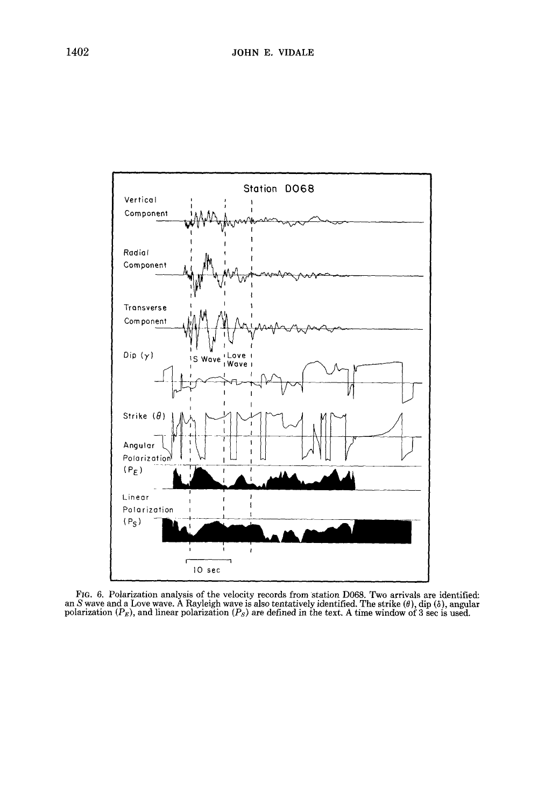

FIG. 6. Polarization analysis of the velocity records from station D068. Two arrivals are identified:<br>an S wave and a Love wave. A Rayleigh wave is also tentatively identified. The strike ( $\theta$ ), dip ( $\delta$ ), angular<br>polar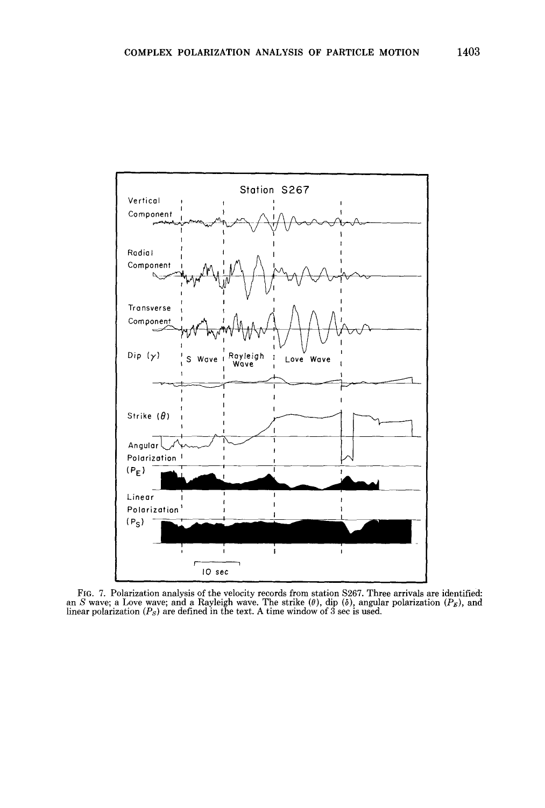

Fro. 7. Polarization analysis of the velocity records from station \$267. Three arrivals are identified: an S wave; a Love wave; and a Rayleigh wave. The strike ( $\theta$ ), dip ( $\delta$ ), angular polarization ( $P_E$ ), and<br>linear polarization ( $P_S$ ) are defined in the text. A time window of 3 sec is used.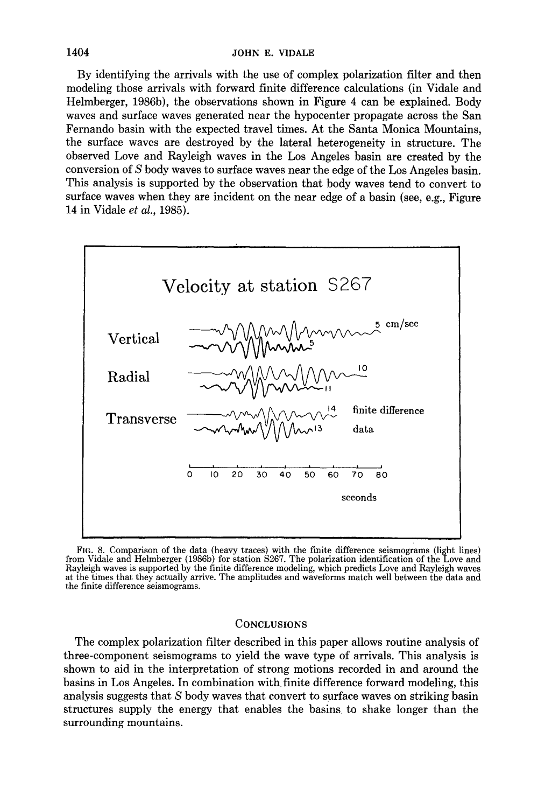By identifying the arrivals with the use of complex polarization filter and then modeling those arrivals with forward finite difference calculations (in Vidale and Helmberger, 1986b), the observations shown in Figure 4 can be explained. Body waves and surface waves generated near the hypocenter propagate across the San Fernando basin with the expected travel times. At the Santa Monica Mountains, the surface waves are destroyed by the lateral heterogeneity in structure. The observed Love and Rayleigh waves in the Los Angeles basin are created by the conversion of S body waves to surface waves near the edge of the Los Angeles basin. This analysis is supported by the observation that body waves tend to convert to surface waves when they are incident on the near edge of a basin (see, e.g., Figure 14 in Vidale *et al.,* 1985).



FIG. 8. Comparison of the data (heavy traces) with the finite difference seismograms (light lines) from Vidale and Helmberger (1986b) for station \$267. The polarization identification of the Love and Rayleigh waves is supported by the finite difference modeling, which predicts Love and Rayleigh waves at the times that they actually arrive. The amplitudes and waveforms match well between the data and the finite difference seismograms.

### **CONCLUSIONS**

The complex polarization filter described in this paper allows routine analysis of three-component seismograms to yield the wave type of arrivals. This analysis is shown to aid in the interpretation of strong motions recorded in and around the basins in Los Angeles. In combination with finite difference forward modeling, this analysis suggests that S body waves that convert to surface waves on striking basin structures supply the energy that enables the basins to shake longer than the surrounding mountains.